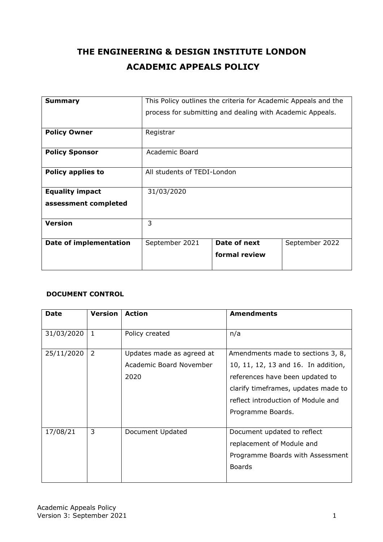# **THE ENGINEERING & DESIGN INSTITUTE LONDON ACADEMIC APPEALS POLICY**

| <b>Summary</b>                | This Policy outlines the criteria for Academic Appeals and the |                                                           |                |
|-------------------------------|----------------------------------------------------------------|-----------------------------------------------------------|----------------|
|                               |                                                                | process for submitting and dealing with Academic Appeals. |                |
| <b>Policy Owner</b>           | Registrar                                                      |                                                           |                |
| <b>Policy Sponsor</b>         | Academic Board                                                 |                                                           |                |
| <b>Policy applies to</b>      | All students of TEDI-London                                    |                                                           |                |
| <b>Equality impact</b>        | 31/03/2020                                                     |                                                           |                |
| assessment completed          |                                                                |                                                           |                |
| <b>Version</b>                | 3                                                              |                                                           |                |
| <b>Date of implementation</b> | September 2021                                                 | Date of next                                              | September 2022 |
|                               |                                                                | formal review                                             |                |

#### **DOCUMENT CONTROL**

| <b>Date</b> | <b>Version</b> | <b>Action</b>                                                | <b>Amendments</b>                                                                                                                                                                                             |
|-------------|----------------|--------------------------------------------------------------|---------------------------------------------------------------------------------------------------------------------------------------------------------------------------------------------------------------|
| 31/03/2020  | $\mathbf{1}$   | Policy created                                               | n/a                                                                                                                                                                                                           |
| 25/11/2020  | 2              | Updates made as agreed at<br>Academic Board November<br>2020 | Amendments made to sections 3, 8,<br>10, 11, 12, 13 and 16. In addition,<br>references have been updated to<br>clarify timeframes, updates made to<br>reflect introduction of Module and<br>Programme Boards. |
| 17/08/21    | 3              | Document Updated                                             | Document updated to reflect<br>replacement of Module and<br>Programme Boards with Assessment<br><b>Boards</b>                                                                                                 |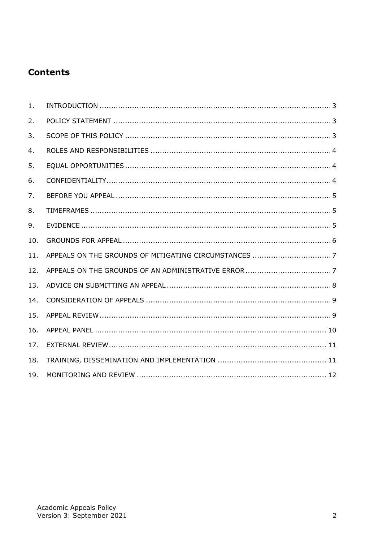## **Contents**

| 1.  |  |
|-----|--|
| 2.  |  |
| 3.  |  |
| 4.  |  |
| 5.  |  |
| 6.  |  |
| 7.  |  |
| 8.  |  |
| 9.  |  |
| 10. |  |
| 11. |  |
| 12. |  |
| 13. |  |
| 14. |  |
| 15. |  |
| 16. |  |
| 17. |  |
| 18. |  |
| 19. |  |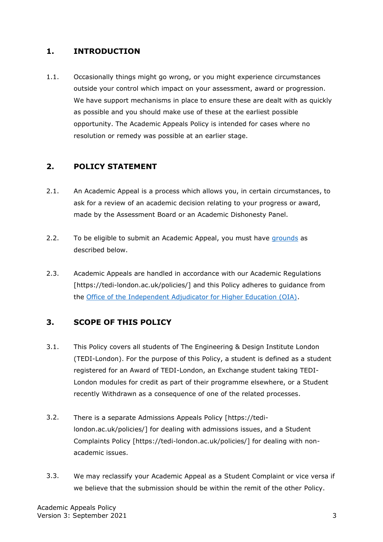#### <span id="page-2-0"></span>**1. INTRODUCTION**

1.1. Occasionally things might go wrong, or you might experience circumstances outside your control which impact on your assessment, award or progression. We have support mechanisms in place to ensure these are dealt with as quickly as possible and you should make use of these at the earliest possible opportunity. The Academic Appeals Policy is intended for cases where no resolution or remedy was possible at an earlier stage.

#### <span id="page-2-1"></span>**2. POLICY STATEMENT**

- 2.1. An Academic Appeal is a process which allows you, in certain circumstances, to ask for a review of an academic decision relating to your progress or award, made by the Assessment Board or an Academic Dishonesty Panel.
- 2.2. To be eligible to submit an Academic Appeal, you must have [grounds](#page-5-0) as described below.
- 2.3. Academic Appeals are handled in accordance with our Academic Regulations [https://tedi-london.ac.uk/policies/] and this Policy adheres to guidance from the [Office of the Independent Adjudicator for Higher Education \(OIA\).](https://www.oiahe.org.uk/)

#### <span id="page-2-2"></span>**3. SCOPE OF THIS POLICY**

- 3.1. This Policy covers all students of The Engineering & Design Institute London (TEDI-London). For the purpose of this Policy, a student is defined as a student registered for an Award of TEDI-London, an Exchange student taking TEDI-London modules for credit as part of their programme elsewhere, or a Student recently Withdrawn as a consequence of one of the related processes.
- 3.2. There is a separate Admissions Appeals Policy [https://tedilondon.ac.uk/policies/] for dealing with admissions issues, and a Student Complaints Policy [https://tedi-london.ac.uk/policies/] for dealing with nonacademic issues.
- 3.3. We may reclassify your Academic Appeal as a Student Complaint or vice versa if we believe that the submission should be within the remit of the other Policy.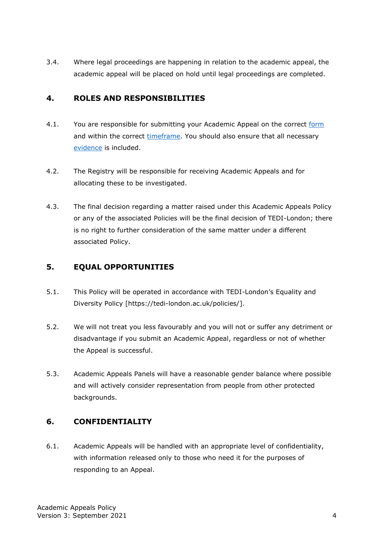3.4. Where legal proceedings are happening in relation to the academic appeal, the academic appeal will be placed on hold until legal proceedings are completed.

#### <span id="page-3-0"></span>**4. ROLES AND RESPONSIBILITIES**

- 4.1. You are responsible for submitting your Academic Appeal on the correct [form](#page-7-0) and within the correct [timeframe.](#page-4-1) You should also ensure that all necessary [evidence](#page-4-2) is included.
- 4.2. The Registry will be responsible for receiving Academic Appeals and for allocating these to be investigated.
- 4.3. The final decision regarding a matter raised under this Academic Appeals Policy or any of the associated Policies will be the final decision of TEDI-London; there is no right to further consideration of the same matter under a different associated Policy.

## <span id="page-3-1"></span>**5. EQUAL OPPORTUNITIES**

- 5.1. This Policy will be operated in accordance with TEDI-London's Equality and Diversity Policy [https://tedi-london.ac.uk/policies/].
- 5.2. We will not treat you less favourably and you will not or suffer any detriment or disadvantage if you submit an Academic Appeal, regardless or not of whether the Appeal is successful.
- 5.3. Academic Appeals Panels will have a reasonable gender balance where possible and will actively consider representation from people from other protected backgrounds.

## <span id="page-3-2"></span>**6. CONFIDENTIALITY**

6.1. Academic Appeals will be handled with an appropriate level of confidentiality, with information released only to those who need it for the purposes of responding to an Appeal.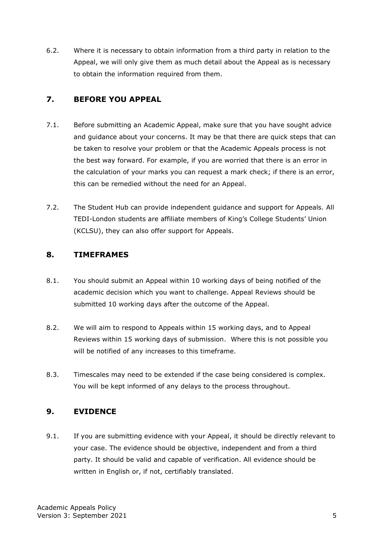6.2. Where it is necessary to obtain information from a third party in relation to the Appeal, we will only give them as much detail about the Appeal as is necessary to obtain the information required from them.

#### <span id="page-4-0"></span>**7. BEFORE YOU APPEAL**

- 7.1. Before submitting an Academic Appeal, make sure that you have sought advice and guidance about your concerns. It may be that there are quick steps that can be taken to resolve your problem or that the Academic Appeals process is not the best way forward. For example, if you are worried that there is an error in the calculation of your marks you can request a mark check; if there is an error, this can be remedied without the need for an Appeal.
- 7.2. The [Student](http://www.culsu.co.uk/advice) Hub can provide independent guidance and support for Appeals. All TEDI-London students are affiliate members of King's College Students' Union (KCLSU), they can also offer support for Appeals.

#### <span id="page-4-1"></span>**8. TIMEFRAMES**

- 8.1. You should submit an Appeal within 10 working days of being notified of the academic decision which you want to challenge. Appeal Reviews should be submitted 10 working days after the outcome of the Appeal.
- 8.2. We will aim to respond to Appeals within 15 working days, and to Appeal Reviews within 15 working days of submission. Where this is not possible you will be notified of any increases to this timeframe.
- 8.3. Timescales may need to be extended if the case being considered is complex. You will be kept informed of any delays to the process throughout.

#### <span id="page-4-2"></span>**9. EVIDENCE**

9.1. If you are submitting evidence with your Appeal, it should be directly relevant to your case. The evidence should be objective, independent and from a third party. It should be valid and capable of verification. All evidence should be written in English or, if not, certifiably translated.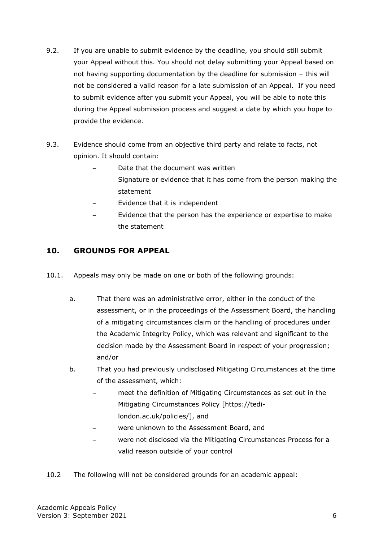- 9.2. If you are unable to submit evidence by the deadline, you should still submit your Appeal without this. You should not delay submitting your Appeal based on not having supporting documentation by the deadline for submission – this will not be considered a valid reason for a late submission of an Appeal. If you need to submit evidence after you submit your Appeal, you will be able to note this during the Appeal submission process and suggest a date by which you hope to provide the evidence.
- 9.3. Evidence should come from an objective third party and relate to facts, not opinion. It should contain:
	- Date that the document was written
	- Signature or evidence that it has come from the person making the statement
	- Evidence that it is independent
	- − Evidence that the person has the experience or expertise to make the statement

#### <span id="page-5-0"></span>**10. GROUNDS FOR APPEAL**

- 10.1. Appeals may only be made on one or both of the following grounds:
	- a. That there was an administrative error, either in the conduct of the assessment, or in the proceedings of the Assessment Board, the handling of a mitigating circumstances claim or the handling of procedures under the Academic Integrity Policy, which was relevant and significant to the decision made by the Assessment Board in respect of your progression; and/or
	- b. That you had previously undisclosed Mitigating Circumstances at the time of the assessment, which:
		- − meet the definition of Mitigating Circumstances as set out in the Mitigating Circumstances Policy [https://tedilondon.ac.uk/policies/], and
		- − were unknown to the Assessment Board, and
		- − were not disclosed via the Mitigating Circumstances Process for a valid reason outside of your control
- 10.2 The following will not be considered grounds for an academic appeal: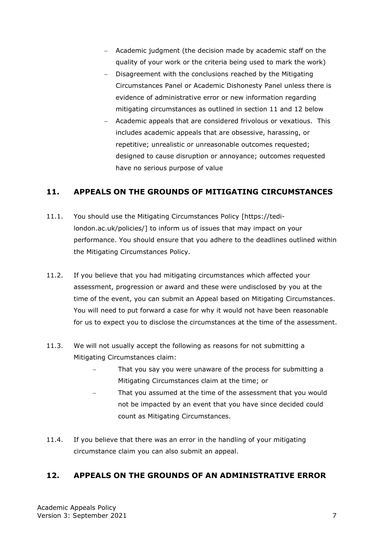- − Academic judgment (the decision made by academic staff on the quality of your work or the criteria being used to mark the work)
- − Disagreement with the conclusions reached by the Mitigating Circumstances Panel or Academic Dishonesty Panel unless there is evidence of administrative error or new information regarding mitigating circumstances as outlined in section 11 and 12 below
- − Academic appeals that are considered frivolous or vexatious. This includes academic appeals that are obsessive, harassing, or repetitive; unrealistic or unreasonable outcomes requested; designed to cause disruption or annoyance; outcomes requested have no serious purpose of value

#### <span id="page-6-0"></span>**11. APPEALS ON THE GROUNDS OF MITIGATING CIRCUMSTANCES**

- 11.1. You should use the Mitigating Circumstances Policy [https://tedilondon.ac.uk/policies/] to inform us of issues that may impact on your performance. You should ensure that you adhere to the deadlines outlined within the Mitigating Circumstances Policy.
- 11.2. If you believe that you had mitigating circumstances which affected your assessment, progression or award and these were undisclosed by you at the time of the event, you can submit an Appeal based on Mitigating Circumstances. You will need to put forward a case for why it would not have been reasonable for us to expect you to disclose the circumstances at the time of the assessment.
- 11.3. We will not usually accept the following as reasons for not submitting a Mitigating Circumstances claim:
	- That you say you were unaware of the process for submitting a Mitigating Circumstances claim at the time; or
	- That you assumed at the time of the assessment that you would not be impacted by an event that you have since decided could count as Mitigating Circumstances.
- 11.4. If you believe that there was an error in the handling of your mitigating circumstance claim you can also submit an appeal.

## <span id="page-6-1"></span>**12. APPEALS ON THE GROUNDS OF AN ADMINISTRATIVE ERROR**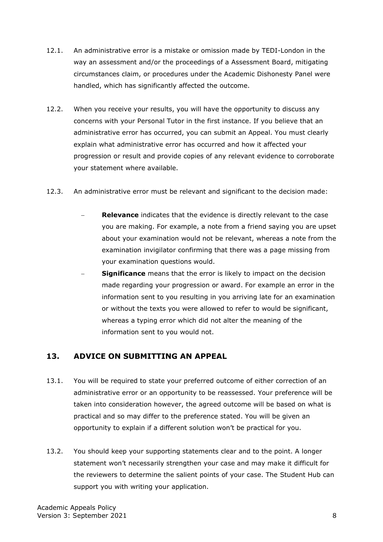- 12.1. An administrative error is a mistake or omission made by TEDI-London in the way an assessment and/or the proceedings of a Assessment Board, mitigating circumstances claim, or procedures under the Academic Dishonesty Panel were handled, which has significantly affected the outcome.
- 12.2. When you receive your results, you will have the opportunity to discuss any concerns with your Personal Tutor in the first instance. If you believe that an administrative error has occurred, you can submit an Appeal. You must clearly explain what administrative error has occurred and how it affected your progression or result and provide copies of any relevant evidence to corroborate your statement where available.
- 12.3. An administrative error must be relevant and significant to the decision made:
	- **Relevance** indicates that the evidence is directly relevant to the case you are making. For example, a note from a friend saying you are upset about your examination would not be relevant, whereas a note from the examination invigilator confirming that there was a page missing from your examination questions would.
	- **Significance** means that the error is likely to impact on the decision made regarding your progression or award. For example an error in the information sent to you resulting in you arriving late for an examination or without the texts you were allowed to refer to would be significant, whereas a typing error which did not alter the meaning of the information sent to you would not.

## <span id="page-7-0"></span>**13. ADVICE ON SUBMITTING AN APPEAL**

- 13.1. You will be required to state your preferred outcome of either correction of an administrative error or an opportunity to be reassessed. Your preference will be taken into consideration however, the agreed outcome will be based on what is practical and so may differ to the preference stated. You will be given an opportunity to explain if a different solution won't be practical for you.
- 13.2. You should keep your supporting statements clear and to the point. A longer statement won't necessarily strengthen your case and may make it difficult for the reviewers to determine the salient points of your case. The Student Hub can support you with writing your application.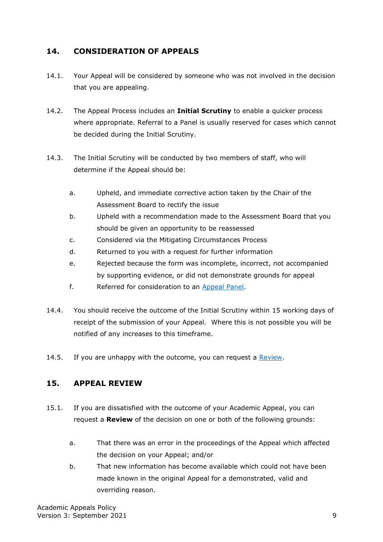## <span id="page-8-0"></span>**14. CONSIDERATION OF APPEALS**

- 14.1. Your Appeal will be considered by someone who was not involved in the decision that you are appealing.
- 14.2. The Appeal Process includes an **Initial Scrutiny** to enable a quicker process where appropriate. Referral to a Panel is usually reserved for cases which cannot be decided during the Initial Scrutiny.
- 14.3. The Initial Scrutiny will be conducted by two members of staff, who will determine if the Appeal should be:
	- a. Upheld, and immediate corrective action taken by the Chair of the Assessment Board to rectify the issue
	- b. Upheld with a recommendation made to the Assessment Board that you should be given an opportunity to be reassessed
	- c. Considered via the Mitigating Circumstances Process
	- d. Returned to you with a request for further information
	- e. Rejected because the form was incomplete, incorrect, not accompanied by supporting evidence, or did not demonstrate grounds for appeal
	- f. Referred for consideration to an Appeal Panel.
- 14.4. You should receive the outcome of the Initial Scrutiny within 15 working days of receipt of the submission of your Appeal. Where this is not possible you will be notified of any increases to this timeframe.
- 14.5. If you are unhappy with the outcome, you can request a Review.

#### <span id="page-8-1"></span>**15. APPEAL REVIEW**

- 15.1. If you are dissatisfied with the outcome of your Academic Appeal, you can request a **Review** of the decision on one or both of the following grounds:
	- a. That there was an error in the proceedings of the Appeal which affected the decision on your Appeal; and/or
	- b. That new information has become available which could not have been made known in the original Appeal for a demonstrated, valid and overriding reason.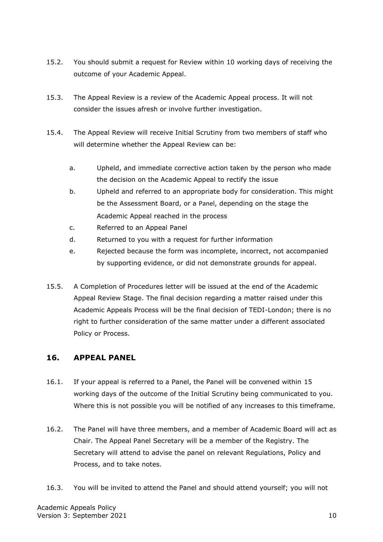- 15.2. You should submit a request for Review within 10 working days of receiving the outcome of your Academic Appeal.
- 15.3. The Appeal Review is a review of the Academic Appeal process. It will not consider the issues afresh or involve further investigation.
- 15.4. The Appeal Review will receive Initial Scrutiny from two members of staff who will determine whether the Appeal Review can be:
	- a. Upheld, and immediate corrective action taken by the person who made the decision on the Academic Appeal to rectify the issue
	- b. Upheld and referred to an appropriate body for consideration. This might be the Assessment Board, or a Panel, depending on the stage the Academic Appeal reached in the process
	- c. Referred to an Appeal Panel
	- d. Returned to you with a request for further information
	- e. Rejected because the form was incomplete, incorrect, not accompanied by supporting evidence, or did not demonstrate grounds for appeal.
- 15.5. A Completion of Procedures letter will be issued at the end of the Academic Appeal Review Stage. The final decision regarding a matter raised under this Academic Appeals Process will be the final decision of TEDI-London; there is no right to further consideration of the same matter under a different associated Policy or Process.

#### <span id="page-9-0"></span>**16. APPEAL PANEL**

- 16.1. If your appeal is referred to a Panel, the Panel will be convened within 15 working days of the outcome of the Initial Scrutiny being communicated to you. Where this is not possible you will be notified of any increases to this timeframe.
- 16.2. The Panel will have three members, and a member of Academic Board will act as Chair. The Appeal Panel Secretary will be a member of the Registry. The Secretary will attend to advise the panel on relevant Regulations, Policy and Process, and to take notes.
- 16.3. You will be invited to attend the Panel and should attend yourself; you will not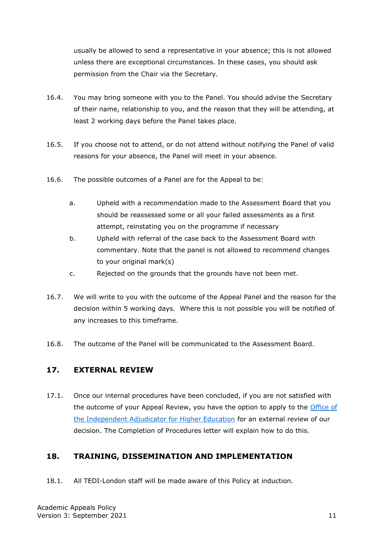usually be allowed to send a representative in your absence; this is not allowed unless there are exceptional circumstances. In these cases, you should ask permission from the Chair via the Secretary.

- 16.4. You may bring someone with you to the Panel. You should advise the Secretary of their name, relationship to you, and the reason that they will be attending, at least 2 working days before the Panel takes place.
- 16.5. If you choose not to attend, or do not attend without notifying the Panel of valid reasons for your absence, the Panel will meet in your absence.
- 16.6. The possible outcomes of a Panel are for the Appeal to be:
	- a. Upheld with a recommendation made to the Assessment Board that you should be reassessed some or all your failed assessments as a first attempt, reinstating you on the programme if necessary
	- b. Upheld with referral of the case back to the Assessment Board with commentary. Note that the panel is not allowed to recommend changes to your original mark(s)
	- c. Rejected on the grounds that the grounds have not been met.
- 16.7. We will write to you with the outcome of the Appeal Panel and the reason for the decision within 5 working days. Where this is not possible you will be notified of any increases to this timeframe.
- 16.8. The outcome of the Panel will be communicated to the Assessment Board.

#### <span id="page-10-0"></span>**17. EXTERNAL REVIEW**

17.1. Once our internal procedures have been concluded, if you are not satisfied with the outcome of your Appeal Review, you have the option to apply to the [Office of](http://www.oiahe.org.uk/)  [the Independent Adjudicator for Higher Education](http://www.oiahe.org.uk/) for an external review of our decision. The Completion of Procedures letter will explain how to do this.

## <span id="page-10-1"></span>**18. TRAINING, DISSEMINATION AND IMPLEMENTATION**

18.1. All TEDI-London staff will be made aware of this Policy at induction.